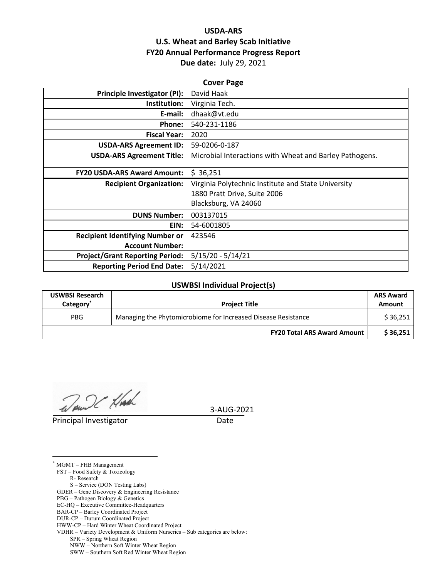## **USDA-ARS U.S. Wheat and Barley Scab Initiative FY20 Annual Performance Progress Report Due date:** July 29, 2021

| <b>Cover Page</b>                      |                                                         |  |  |  |
|----------------------------------------|---------------------------------------------------------|--|--|--|
| Principle Investigator (PI):           | David Haak                                              |  |  |  |
| Institution:                           | Virginia Tech.                                          |  |  |  |
| E-mail:                                | dhaak@vt.edu                                            |  |  |  |
| Phone:                                 | 540-231-1186                                            |  |  |  |
| <b>Fiscal Year:</b>                    | 2020                                                    |  |  |  |
| <b>USDA-ARS Agreement ID:</b>          | 59-0206-0-187                                           |  |  |  |
| <b>USDA-ARS Agreement Title:</b>       | Microbial Interactions with Wheat and Barley Pathogens. |  |  |  |
| <b>FY20 USDA-ARS Award Amount:</b>     | \$36,251                                                |  |  |  |
| <b>Recipient Organization:</b>         | Virginia Polytechnic Institute and State University     |  |  |  |
|                                        | 1880 Pratt Drive, Suite 2006                            |  |  |  |
|                                        | Blacksburg, VA 24060                                    |  |  |  |
| <b>DUNS Number:</b>                    | 003137015                                               |  |  |  |
| EIN:                                   | 54-6001805                                              |  |  |  |
| <b>Recipient Identifying Number or</b> | 423546                                                  |  |  |  |
| <b>Account Number:</b>                 |                                                         |  |  |  |
| <b>Project/Grant Reporting Period:</b> | $5/15/20 - 5/14/21$                                     |  |  |  |
| <b>Reporting Period End Date:</b>      | 5/14/2021                                               |  |  |  |

#### **USWBSI Individual Project(s)**

| <b>USWBSI Research</b><br>Category <sup>®</sup> | <b>Project Title</b>                                          |          |
|-------------------------------------------------|---------------------------------------------------------------|----------|
| <b>PBG</b>                                      | Managing the Phytomicrobiome for Increased Disease Resistance |          |
|                                                 | <b>FY20 Total ARS Award Amount</b>                            | \$36,251 |

Wound Hach

**Principal Investigator** Date

3-AUG-2021

\* MGMT – FHB Management FST – Food Safety & Toxicology R- Research S – Service (DON Testing Labs) GDER – Gene Discovery & Engineering Resistance PBG – Pathogen Biology & Genetics EC-HQ – Executive Committee-Headquarters BAR-CP – Barley Coordinated Project DUR-CP – Durum Coordinated Project HWW-CP – Hard Winter Wheat Coordinated Project VDHR – Variety Development & Uniform Nurseries – Sub categories are below: SPR – Spring Wheat Region NWW – Northern Soft Winter Wheat Region SWW – Southern Soft Red Winter Wheat Region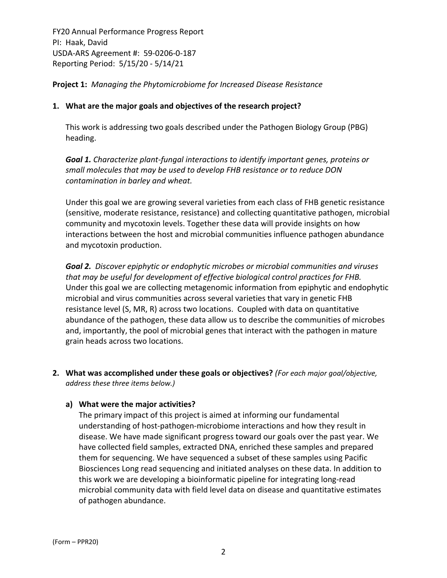**Project 1:** *Managing the Phytomicrobiome for Increased Disease Resistance*

## **1. What are the major goals and objectives of the research project?**

This work is addressing two goals described under the Pathogen Biology Group (PBG) heading.

*Goal 1. Characterize plant‐fungal interactions to identify important genes, proteins or small molecules that may be used to develop FHB resistance or to reduce DON contamination in barley and wheat.*

Under this goal we are growing several varieties from each class of FHB genetic resistance (sensitive, moderate resistance, resistance) and collecting quantitative pathogen, microbial community and mycotoxin levels. Together these data will provide insights on how interactions between the host and microbial communities influence pathogen abundance and mycotoxin production.

*Goal 2. Discover epiphytic or endophytic microbes or microbial communities and viruses that may be useful for development of effective biological control practices for FHB.* Under this goal we are collecting metagenomic information from epiphytic and endophytic microbial and virus communities across several varieties that vary in genetic FHB resistance level (S, MR, R) across two locations. Coupled with data on quantitative abundance of the pathogen, these data allow us to describe the communities of microbes and, importantly, the pool of microbial genes that interact with the pathogen in mature grain heads across two locations.

**2. What was accomplished under these goals or objectives?** *(For each major goal/objective, address these three items below.)*

#### **a) What were the major activities?**

The primary impact of this project is aimed at informing our fundamental understanding of host‐pathogen‐microbiome interactions and how they result in disease. We have made significant progress toward our goals over the past year. We have collected field samples, extracted DNA, enriched these samples and prepared them for sequencing. We have sequenced a subset of these samples using Pacific Biosciences Long read sequencing and initiated analyses on these data. In addition to this work we are developing a bioinformatic pipeline for integrating long‐read microbial community data with field level data on disease and quantitative estimates of pathogen abundance.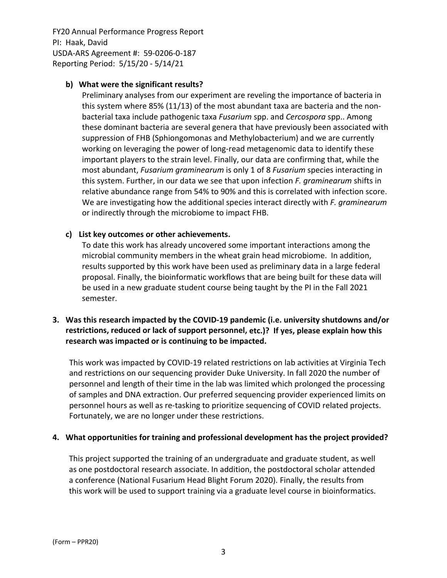## **b) What were the significant results?**

Preliminary analyses from our experiment are reveling the importance of bacteria in this system where 85% (11/13) of the most abundant taxa are bacteria and the non‐ bacterial taxa include pathogenic taxa *Fusarium* spp. and *Cercospora* spp.. Among these dominant bacteria are several genera that have previously been associated with suppression of FHB (Sphiongomonas and Methylobacterium) and we are currently working on leveraging the power of long-read metagenomic data to identify these important players to the strain level. Finally, our data are confirming that, while the most abundant, *Fusarium graminearum* is only 1 of 8 *Fusarium* species interacting in this system. Further, in our data we see that upon infection *F. graminearum* shifts in relative abundance range from 54% to 90% and this is correlated with infection score. We are investigating how the additional species interact directly with *F. graminearum* or indirectly through the microbiome to impact FHB.

## **c) List key outcomes or other achievements.**

To date this work has already uncovered some important interactions among the microbial community members in the wheat grain head microbiome. In addition, results supported by this work have been used as preliminary data in a large federal proposal. Finally, the bioinformatic workflows that are being built for these data will be used in a new graduate student course being taught by the PI in the Fall 2021 semester.

## **3. Was this research impacted by the COVID‐19 pandemic (i.e. university shutdowns and/or restrictions, reduced or lack of support personnel, etc.)? If yes, please explain how this research was impacted or is continuing to be impacted.**

This work was impacted by COVID‐19 related restrictions on lab activities at Virginia Tech and restrictions on our sequencing provider Duke University. In fall 2020 the number of personnel and length of their time in the lab was limited which prolonged the processing of samples and DNA extraction. Our preferred sequencing provider experienced limits on personnel hours as well as re‐tasking to prioritize sequencing of COVID related projects. Fortunately, we are no longer under these restrictions.

#### **4. What opportunities for training and professional development has the project provided?**

This project supported the training of an undergraduate and graduate student, as well as one postdoctoral research associate. In addition, the postdoctoral scholar attended a conference (National Fusarium Head Blight Forum 2020). Finally, the results from this work will be used to support training via a graduate level course in bioinformatics.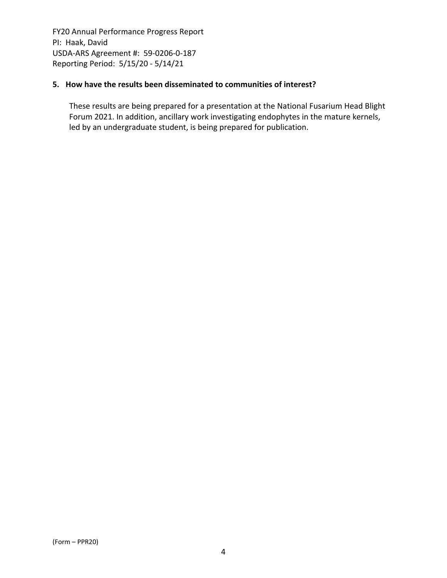## **5. How have the results been disseminated to communities of interest?**

These results are being prepared for a presentation at the National Fusarium Head Blight Forum 2021. In addition, ancillary work investigating endophytes in the mature kernels, led by an undergraduate student, is being prepared for publication.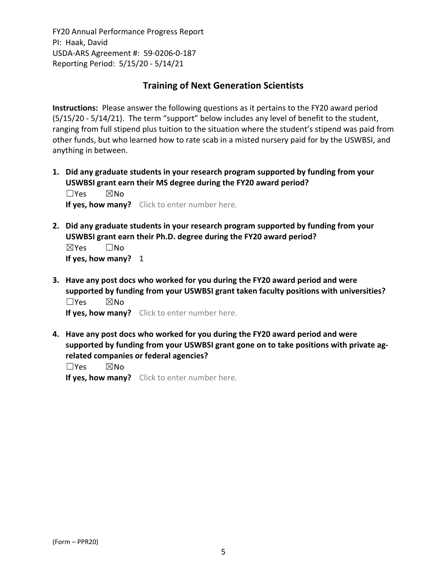# **Training of Next Generation Scientists**

**Instructions:** Please answer the following questions as it pertains to the FY20 award period (5/15/20 ‐ 5/14/21). The term "support" below includes any level of benefit to the student, ranging from full stipend plus tuition to the situation where the student's stipend was paid from other funds, but who learned how to rate scab in a misted nursery paid for by the USWBSI, and anything in between.

**1. Did any graduate students in your research program supported by funding from your USWBSI grant earn their MS degree during the FY20 award period?** ☐Yes ☒No

**If yes, how many?** Click to enter number here.

**2. Did any graduate students in your research program supported by funding from your USWBSI grant earn their Ph.D. degree during the FY20 award period?** ☒Yes ☐No

**If yes, how many?** 1

**3. Have any post docs who worked for you during the FY20 award period and were supported by funding from your USWBSI grant taken faculty positions with universities?** ☐Yes ☒No

**If yes, how many?** Click to enter number here.

**4. Have any post docs who worked for you during the FY20 award period and were supported by funding from your USWBSI grant gone on to take positions with private ag‐ related companies or federal agencies?**

☐Yes ☒No

**If yes, how many?** Click to enter number here.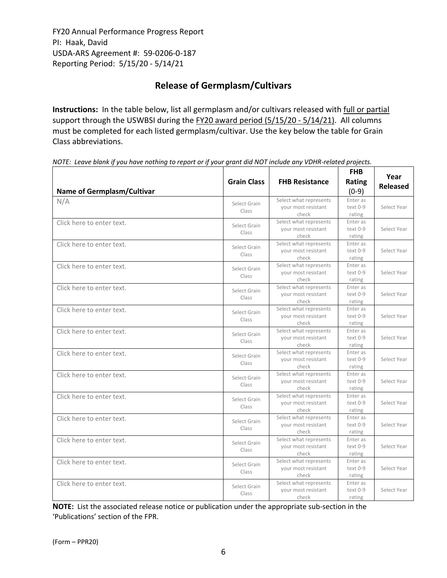# **Release of Germplasm/Cultivars**

**Instructions:** In the table below, list all germplasm and/or cultivars released with full or partial support through the USWBSI during the FY20 award period (5/15/20 - 5/14/21). All columns must be completed for each listed germplasm/cultivar. Use the key below the table for Grain Class abbreviations. 

| <b>Name of Germplasm/Cultivar</b> | <b>Grain Class</b>    | <b>FHB Resistance</b>                                  | <b>FHB</b><br>Rating<br>$(0-9)$ | Year<br><b>Released</b> |
|-----------------------------------|-----------------------|--------------------------------------------------------|---------------------------------|-------------------------|
| N/A                               | Select Grain<br>Class | Select what represents<br>your most resistant<br>check | Enter as<br>text 0-9<br>rating  | Select Year             |
| Click here to enter text.         | Select Grain<br>Class | Select what represents<br>your most resistant<br>check | Enter as<br>text 0-9<br>rating  | Select Year             |
| Click here to enter text.         | Select Grain<br>Class | Select what represents<br>your most resistant<br>check | Enter as<br>text 0-9<br>rating  | Select Year             |
| Click here to enter text.         | Select Grain<br>Class | Select what represents<br>your most resistant<br>check | Enter as<br>text 0-9<br>rating  | Select Year             |
| Click here to enter text.         | Select Grain<br>Class | Select what represents<br>your most resistant<br>check | Enter as<br>text 0-9<br>rating  | Select Year             |
| Click here to enter text.         | Select Grain<br>Class | Select what represents<br>your most resistant<br>check | Enter as<br>text 0-9<br>rating  | Select Year             |
| Click here to enter text.         | Select Grain<br>Class | Select what represents<br>your most resistant<br>check | Enter as<br>text 0-9<br>rating  | Select Year             |
| Click here to enter text.         | Select Grain<br>Class | Select what represents<br>your most resistant<br>check | Enter as<br>text 0-9<br>rating  | Select Year             |
| Click here to enter text.         | Select Grain<br>Class | Select what represents<br>your most resistant<br>check | Enter as<br>text 0-9<br>rating  | Select Year             |
| Click here to enter text.         | Select Grain<br>Class | Select what represents<br>your most resistant<br>check | Enter as<br>text 0-9<br>rating  | Select Year             |
| Click here to enter text.         | Select Grain<br>Class | Select what represents<br>your most resistant<br>check | Enter as<br>text 0-9<br>rating  | Select Year             |
| Click here to enter text.         | Select Grain<br>Class | Select what represents<br>your most resistant<br>check | Enter as<br>text 0-9<br>rating  | Select Year             |
| Click here to enter text.         | Select Grain<br>Class | Select what represents<br>your most resistant<br>check | Enter as<br>text 0-9<br>rating  | Select Year             |
| Click here to enter text.         | Select Grain<br>Class | Select what represents<br>your most resistant<br>check | Enter as<br>text 0-9<br>rating  | Select Year             |

NOTE: Leave blank if you have nothing to report or if your grant did NOT include any VDHR-related projects.

**NOTE:** List the associated release notice or publication under the appropriate sub-section in the 'Publications' section of the FPR.